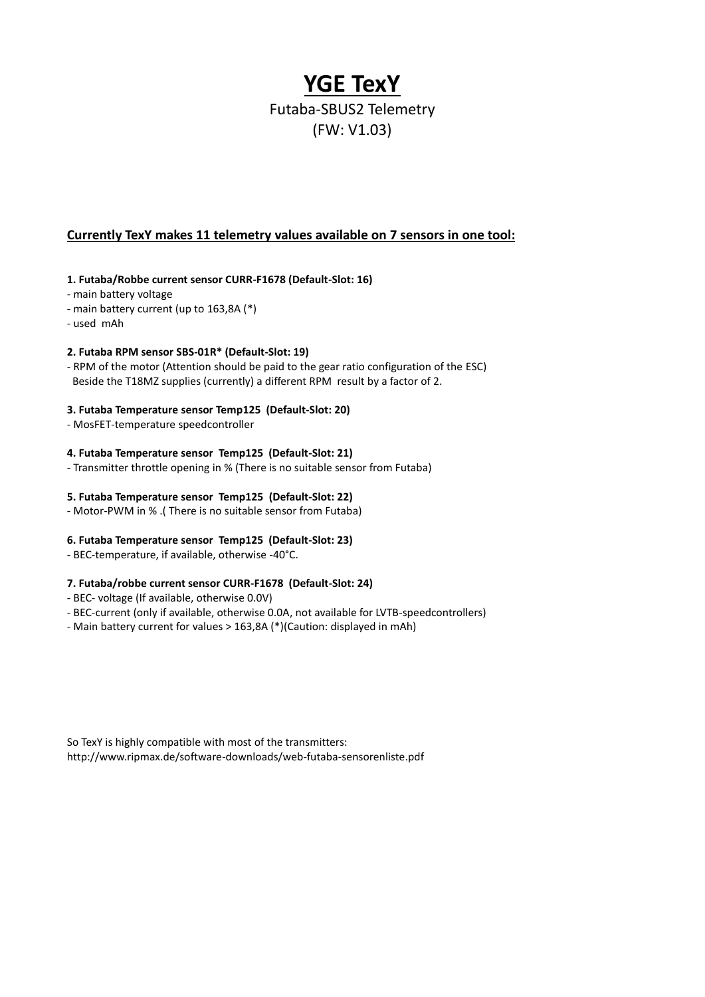# **YGE TexY**

## Futaba-SBUS2 Telemetry (FW: V1.03)

### **Currently TexY makes 11 telemetry values available on 7 sensors in one tool:**

#### **1. Futaba/Robbe current sensor CURR-F1678 (Default-Slot: 16)**

- main battery voltage
- main battery current (up to 163,8A (\*)
- used mAh

#### **2. Futaba RPM sensor SBS-01R\* (Default-Slot: 19)**

- RPM of the motor (Attention should be paid to the gear ratio configuration of the ESC) Beside the T18MZ supplies (currently) a different RPM result by a factor of 2.

#### **3. Futaba Temperature sensor Temp125 (Default-Slot: 20)**

- MosFET-temperature speedcontroller

#### **4. Futaba Temperature sensor Temp125 (Default-Slot: 21)**

- Transmitter throttle opening in % (There is no suitable sensor from Futaba)

#### **5. Futaba Temperature sensor Temp125 (Default-Slot: 22)**

- Motor-PWM in % .( There is no suitable sensor from Futaba)

#### **6. Futaba Temperature sensor Temp125 (Default-Slot: 23)**

- BEC-temperature, if available, otherwise -40°C.

#### **7. Futaba/robbe current sensor CURR-F1678 (Default-Slot: 24)**

- BEC- voltage (If available, otherwise 0.0V)
- BEC-current (only if available, otherwise 0.0A, not available for LVTB-speedcontrollers)
- Main battery current for values > 163,8A (\*)(Caution: displayed in mAh)

So TexY is highly compatible with most of the transmitters: <http://www.ripmax.de/software-downloads/web-futaba-sensorenliste.pdf>